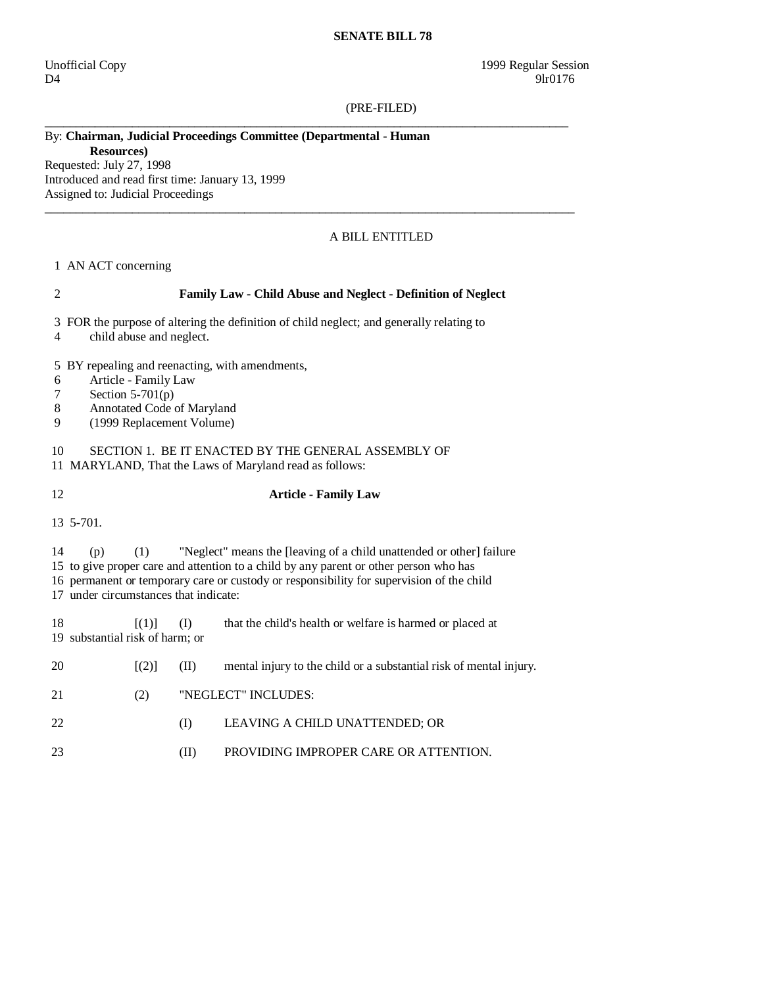#### **SENATE BILL 78**

D4 9lr0176

#### (PRE-FILED)

# By: **Chairman, Judicial Proceedings Committee (Departmental - Human**

**Resources)** 

Requested: July 27, 1998 Introduced and read first time: January 13, 1999 Assigned to: Judicial Proceedings

#### A BILL ENTITLED

### 1 AN ACT concerning

## 2 **Family Law - Child Abuse and Neglect - Definition of Neglect**

\_\_\_\_\_\_\_\_\_\_\_\_\_\_\_\_\_\_\_\_\_\_\_\_\_\_\_\_\_\_\_\_\_\_\_\_\_\_\_\_\_\_\_\_\_\_\_\_\_\_\_\_\_\_\_\_\_\_\_\_\_\_\_\_\_\_\_\_\_\_\_\_\_\_\_\_\_\_\_\_\_\_\_\_

 $\_$  ,  $\_$  ,  $\_$  ,  $\_$  ,  $\_$  ,  $\_$  ,  $\_$  ,  $\_$  ,  $\_$  ,  $\_$  ,  $\_$  ,  $\_$  ,  $\_$  ,  $\_$  ,  $\_$  ,  $\_$  ,  $\_$  ,  $\_$  ,  $\_$  ,  $\_$  ,  $\_$  ,  $\_$  ,  $\_$  ,  $\_$  ,  $\_$  ,  $\_$  ,  $\_$  ,  $\_$  ,  $\_$  ,  $\_$  ,  $\_$  ,  $\_$  ,  $\_$  ,  $\_$  ,  $\_$  ,  $\_$  ,  $\_$  ,

3 FOR the purpose of altering the definition of child neglect; and generally relating to

- 4 child abuse and neglect.
- 5 BY repealing and reenacting, with amendments,
- 6 Article Family Law
- 7 Section 5-701(p)
- 8 Annotated Code of Maryland
- 9 (1999 Replacement Volume)

## 10 SECTION 1. BE IT ENACTED BY THE GENERAL ASSEMBLY OF 11 MARYLAND, That the Laws of Maryland read as follows:

# 12 **Article - Family Law**

13 5-701.

14 (p) (1) "Neglect" means the [leaving of a child unattended or other] failure

15 to give proper care and attention to a child by any parent or other person who has

16 permanent or temporary care or custody or responsibility for supervision of the child

17 under circumstances that indicate:

18 [(1)] (I) that the child's health or welfare is harmed or placed at 19 substantial risk of harm; or

| -20 | $\vert (2) \vert$ | (II)                | mental injury to the child or a substantial risk of mental injury. |
|-----|-------------------|---------------------|--------------------------------------------------------------------|
| -21 | (2)               | "NEGLECT" INCLUDES: |                                                                    |
| 22  |                   | (1)                 | LEAVING A CHILD UNATTENDED; OR                                     |
|     |                   |                     | PROVIDING IMPROPER CARE OR ATTENTION.                              |